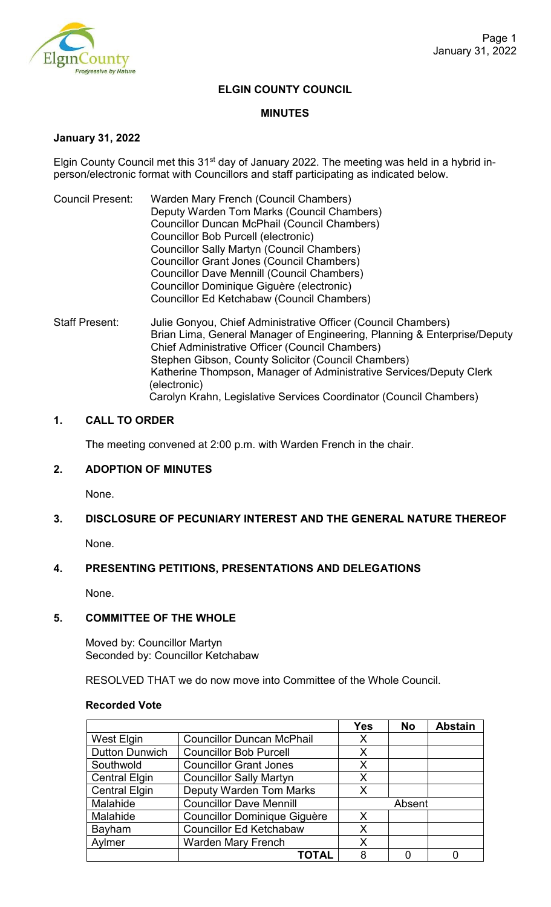

### **ELGIN COUNTY COUNCIL**

#### **MINUTES**

#### **January 31, 2022**

Elgin County Council met this 31<sup>st</sup> day of January 2022. The meeting was held in a hybrid inperson/electronic format with Councillors and staff participating as indicated below.

- Council Present: Warden Mary French (Council Chambers) Deputy Warden Tom Marks (Council Chambers) Councillor Duncan McPhail (Council Chambers) Councillor Bob Purcell (electronic) Councillor Sally Martyn (Council Chambers) Councillor Grant Jones (Council Chambers) Councillor Dave Mennill (Council Chambers) Councillor Dominique Giguère (electronic) Councillor Ed Ketchabaw (Council Chambers)
- Staff Present: Julie Gonyou, Chief Administrative Officer (Council Chambers) Brian Lima, General Manager of Engineering, Planning & Enterprise/Deputy Chief Administrative Officer (Council Chambers) Stephen Gibson, County Solicitor (Council Chambers) Katherine Thompson, Manager of Administrative Services/Deputy Clerk (electronic) Carolyn Krahn, Legislative Services Coordinator (Council Chambers)

### **1. CALL TO ORDER**

The meeting convened at 2:00 p.m. with Warden French in the chair.

# **2. ADOPTION OF MINUTES**

None.

# **3. DISCLOSURE OF PECUNIARY INTEREST AND THE GENERAL NATURE THEREOF**

None.

# **4. PRESENTING PETITIONS, PRESENTATIONS AND DELEGATIONS**

None.

#### **5. COMMITTEE OF THE WHOLE**

Moved by: Councillor Martyn Seconded by: Councillor Ketchabaw

RESOLVED THAT we do now move into Committee of the Whole Council.

#### **Recorded Vote**

|                       |                                  | <b>Yes</b> | <b>No</b> | <b>Abstain</b> |
|-----------------------|----------------------------------|------------|-----------|----------------|
| West Elgin            | <b>Councillor Duncan McPhail</b> | X          |           |                |
| <b>Dutton Dunwich</b> | <b>Councillor Bob Purcell</b>    | X          |           |                |
| Southwold             | <b>Councillor Grant Jones</b>    | X          |           |                |
| <b>Central Elgin</b>  | <b>Councillor Sally Martyn</b>   | X          |           |                |
| <b>Central Elgin</b>  | <b>Deputy Warden Tom Marks</b>   | X          |           |                |
| Malahide              | <b>Councillor Dave Mennill</b>   | Absent     |           |                |
| Malahide              | Councillor Dominique Giguère     | X          |           |                |
| Bayham                | <b>Councillor Ed Ketchabaw</b>   | X          |           |                |
| Aylmer                | <b>Warden Mary French</b>        | X          |           |                |
|                       | <b>TOTAL</b>                     | 8          |           |                |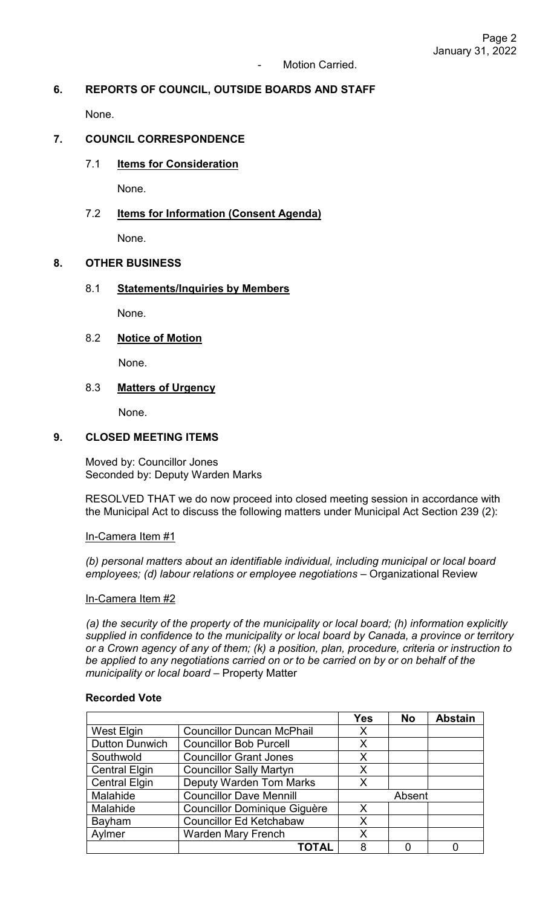# **6. REPORTS OF COUNCIL, OUTSIDE BOARDS AND STAFF**

None.

# **7. COUNCIL CORRESPONDENCE**

7.1 **Items for Consideration**

None.

### 7.2 **Items for Information (Consent Agenda)**

None.

### **8. OTHER BUSINESS**

### 8.1 **Statements/Inquiries by Members**

None.

# 8.2 **Notice of Motion**

None.

### 8.3 **Matters of Urgency**

None.

# **9. CLOSED MEETING ITEMS**

Moved by: Councillor Jones Seconded by: Deputy Warden Marks

RESOLVED THAT we do now proceed into closed meeting session in accordance with the Municipal Act to discuss the following matters under Municipal Act Section 239 (2):

#### In-Camera Item #1

*(b) personal matters about an identifiable individual, including municipal or local board employees; (d) labour relations or employee negotiations* – Organizational Review

#### In-Camera Item #2

*(a) the security of the property of the municipality or local board; (h) information explicitly supplied in confidence to the municipality or local board by Canada, a province or territory or a Crown agency of any of them; (k) a position, plan, procedure, criteria or instruction to be applied to any negotiations carried on or to be carried on by or on behalf of the municipality or local board* – Property Matter

#### **Recorded Vote**

|                       |                                     | <b>Yes</b> | <b>No</b> | <b>Abstain</b> |
|-----------------------|-------------------------------------|------------|-----------|----------------|
| West Elgin            | <b>Councillor Duncan McPhail</b>    | X          |           |                |
| <b>Dutton Dunwich</b> | <b>Councillor Bob Purcell</b>       | X          |           |                |
| Southwold             | <b>Councillor Grant Jones</b>       | X          |           |                |
| <b>Central Elgin</b>  | <b>Councillor Sally Martyn</b>      | X          |           |                |
| <b>Central Elgin</b>  | <b>Deputy Warden Tom Marks</b>      | X          |           |                |
| Malahide              | <b>Councillor Dave Mennill</b>      | Absent     |           |                |
| Malahide              | <b>Councillor Dominique Giguère</b> | X          |           |                |
| Bayham                | <b>Councillor Ed Ketchabaw</b>      | X          |           |                |
| Aylmer                | <b>Warden Mary French</b>           | Χ          |           |                |
|                       | <b>TOTAL</b>                        | 8          |           |                |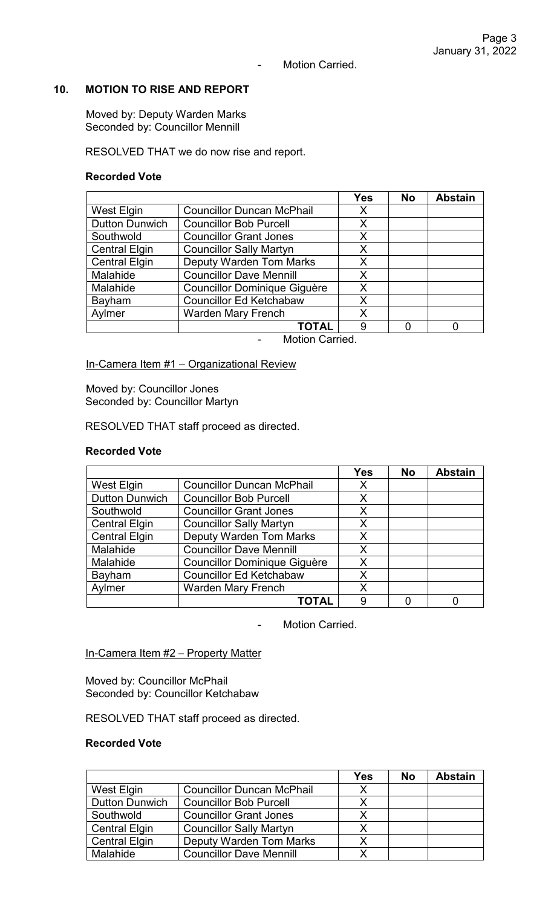### - Motion Carried.

# **10. MOTION TO RISE AND REPORT**

Moved by: Deputy Warden Marks Seconded by: Councillor Mennill

RESOLVED THAT we do now rise and report.

#### **Recorded Vote**

|                       |                                     | <b>Yes</b> | <b>No</b> | <b>Abstain</b> |
|-----------------------|-------------------------------------|------------|-----------|----------------|
| <b>West Elgin</b>     | <b>Councillor Duncan McPhail</b>    | Х          |           |                |
| <b>Dutton Dunwich</b> | <b>Councillor Bob Purcell</b>       | X          |           |                |
| Southwold             | <b>Councillor Grant Jones</b>       | X          |           |                |
| <b>Central Elgin</b>  | <b>Councillor Sally Martyn</b>      | X          |           |                |
| <b>Central Elgin</b>  | <b>Deputy Warden Tom Marks</b>      | Χ          |           |                |
| Malahide              | <b>Councillor Dave Mennill</b>      | X          |           |                |
| Malahide              | <b>Councillor Dominique Giguère</b> | X          |           |                |
| Bayham                | <b>Councillor Ed Ketchabaw</b>      | Χ          |           |                |
| Aylmer                | <b>Warden Mary French</b>           | Χ          |           |                |
|                       | ΤΟΤΑL                               | 9          |           |                |

- Motion Carried.

In-Camera Item #1 - Organizational Review

Moved by: Councillor Jones Seconded by: Councillor Martyn

RESOLVED THAT staff proceed as directed.

#### **Recorded Vote**

|                       |                                     | <b>Yes</b> | <b>No</b> | <b>Abstain</b> |
|-----------------------|-------------------------------------|------------|-----------|----------------|
| West Elgin            | <b>Councillor Duncan McPhail</b>    | X          |           |                |
| <b>Dutton Dunwich</b> | <b>Councillor Bob Purcell</b>       | X          |           |                |
| Southwold             | <b>Councillor Grant Jones</b>       | X          |           |                |
| <b>Central Elgin</b>  | <b>Councillor Sally Martyn</b>      | X          |           |                |
| <b>Central Elgin</b>  | <b>Deputy Warden Tom Marks</b>      | Χ          |           |                |
| Malahide              | <b>Councillor Dave Mennill</b>      | X          |           |                |
| Malahide              | <b>Councillor Dominique Giguère</b> | X          |           |                |
| Bayham                | <b>Councillor Ed Ketchabaw</b>      | X          |           |                |
| Aylmer                | <b>Warden Mary French</b>           | Χ          |           |                |
|                       | <b>TOTAL</b>                        | 9          |           |                |

- Motion Carried.

# In-Camera Item #2 - Property Matter

Moved by: Councillor McPhail Seconded by: Councillor Ketchabaw

RESOLVED THAT staff proceed as directed.

#### **Recorded Vote**

|                       |                                  | Yes | <b>No</b> | <b>Abstain</b> |
|-----------------------|----------------------------------|-----|-----------|----------------|
| West Elgin            | <b>Councillor Duncan McPhail</b> | X   |           |                |
| <b>Dutton Dunwich</b> | <b>Councillor Bob Purcell</b>    |     |           |                |
| Southwold             | <b>Councillor Grant Jones</b>    | х   |           |                |
| <b>Central Elgin</b>  | <b>Councillor Sally Martyn</b>   | X   |           |                |
| <b>Central Elgin</b>  | Deputy Warden Tom Marks          | Χ   |           |                |
| <b>Malahide</b>       | <b>Councillor Dave Mennill</b>   |     |           |                |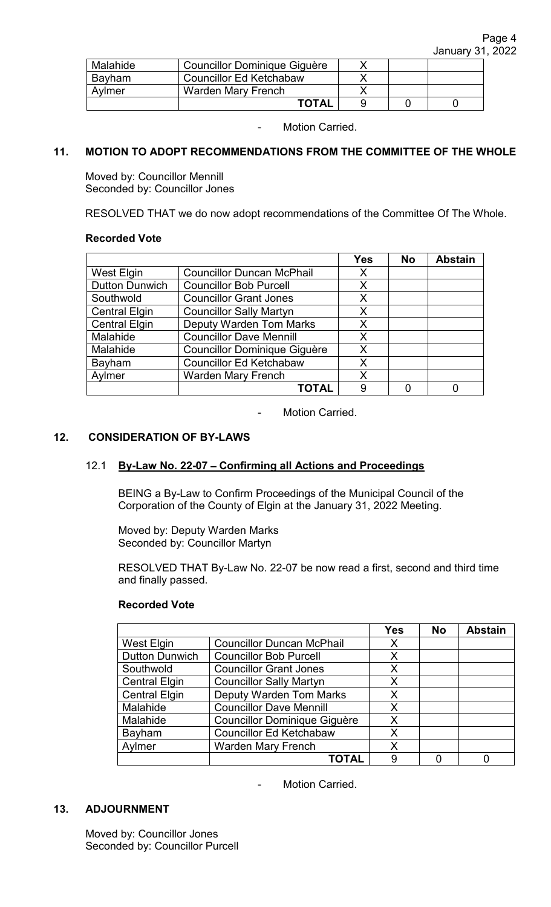| Malahide      | Councillor Dominique Giguère   |  |  |
|---------------|--------------------------------|--|--|
| <b>Bavham</b> | <b>Councillor Ed Ketchabaw</b> |  |  |
| Avlmer        | Warden Mary French             |  |  |
|               | <b>TOTAL</b>                   |  |  |

- Motion Carried.

### **11. MOTION TO ADOPT RECOMMENDATIONS FROM THE COMMITTEE OF THE WHOLE**

Moved by: Councillor Mennill Seconded by: Councillor Jones

RESOLVED THAT we do now adopt recommendations of the Committee Of The Whole.

#### **Recorded Vote**

|                       |                                     | <b>Yes</b> | <b>No</b> | <b>Abstain</b> |
|-----------------------|-------------------------------------|------------|-----------|----------------|
| <b>West Elgin</b>     | <b>Councillor Duncan McPhail</b>    | Х          |           |                |
| <b>Dutton Dunwich</b> | <b>Councillor Bob Purcell</b>       | X          |           |                |
| Southwold             | <b>Councillor Grant Jones</b>       | X          |           |                |
| <b>Central Elgin</b>  | <b>Councillor Sally Martyn</b>      | X          |           |                |
| <b>Central Elgin</b>  | <b>Deputy Warden Tom Marks</b>      | Χ          |           |                |
| Malahide              | <b>Councillor Dave Mennill</b>      | X          |           |                |
| Malahide              | <b>Councillor Dominique Giguère</b> | X          |           |                |
| Bayham                | <b>Councillor Ed Ketchabaw</b>      | X          |           |                |
| Aylmer                | <b>Warden Mary French</b>           | X          |           |                |
|                       | ΤΟΤΑΙ                               | 9          |           |                |

- Motion Carried.

# **12. CONSIDERATION OF BY-LAWS**

#### 12.1 **By-Law No. 22-07** – **Confirming all Actions and Proceedings**

BEING a By-Law to Confirm Proceedings of the Municipal Council of the Corporation of the County of Elgin at the January 31, 2022 Meeting.

Moved by: Deputy Warden Marks Seconded by: Councillor Martyn

RESOLVED THAT By-Law No. 22-07 be now read a first, second and third time and finally passed.

# **Recorded Vote**

|                       |                                     | <b>Yes</b> | <b>No</b> | <b>Abstain</b> |
|-----------------------|-------------------------------------|------------|-----------|----------------|
| West Elgin            | <b>Councillor Duncan McPhail</b>    | Χ          |           |                |
| <b>Dutton Dunwich</b> | <b>Councillor Bob Purcell</b>       | X          |           |                |
| Southwold             | <b>Councillor Grant Jones</b>       | X          |           |                |
| <b>Central Elgin</b>  | <b>Councillor Sally Martyn</b>      | Χ          |           |                |
| <b>Central Elgin</b>  | <b>Deputy Warden Tom Marks</b>      | X          |           |                |
| Malahide              | <b>Councillor Dave Mennill</b>      | X          |           |                |
| Malahide              | <b>Councillor Dominique Giguère</b> | X          |           |                |
| Bayham                | <b>Councillor Ed Ketchabaw</b>      | Χ          |           |                |
| Aylmer                | <b>Warden Mary French</b>           | Χ          |           |                |
|                       | <b>TOTAL</b>                        | 9          |           |                |

- Motion Carried.

### **13. ADJOURNMENT**

Moved by: Councillor Jones Seconded by: Councillor Purcell